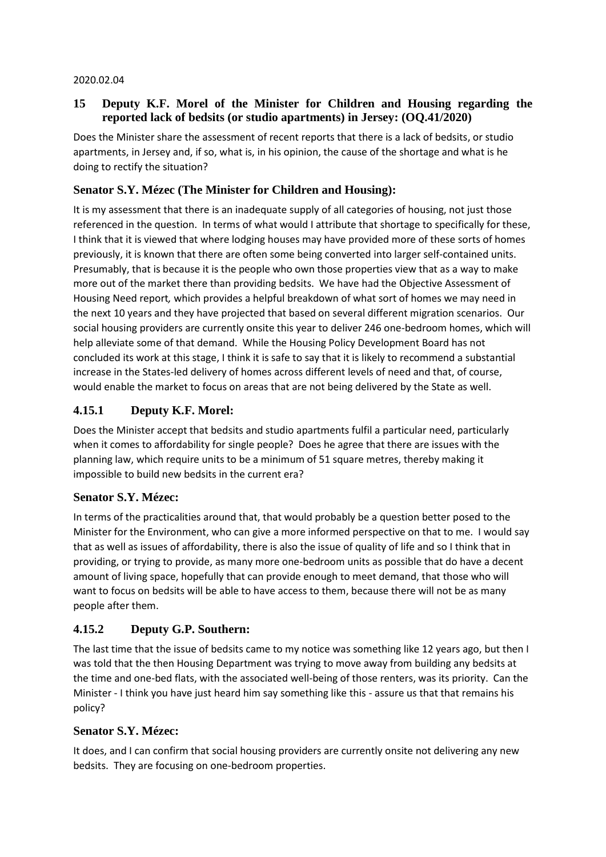#### 2020.02.04

### **15 Deputy K.F. Morel of the Minister for Children and Housing regarding the reported lack of bedsits (or studio apartments) in Jersey: (OQ.41/2020)**

Does the Minister share the assessment of recent reports that there is a lack of bedsits, or studio apartments, in Jersey and, if so, what is, in his opinion, the cause of the shortage and what is he doing to rectify the situation?

### **Senator S.Y. Mézec (The Minister for Children and Housing):**

It is my assessment that there is an inadequate supply of all categories of housing, not just those referenced in the question. In terms of what would I attribute that shortage to specifically for these, I think that it is viewed that where lodging houses may have provided more of these sorts of homes previously, it is known that there are often some being converted into larger self-contained units. Presumably, that is because it is the people who own those properties view that as a way to make more out of the market there than providing bedsits. We have had the Objective Assessment of Housing Need report*,* which provides a helpful breakdown of what sort of homes we may need in the next 10 years and they have projected that based on several different migration scenarios. Our social housing providers are currently onsite this year to deliver 246 one-bedroom homes, which will help alleviate some of that demand. While the Housing Policy Development Board has not concluded its work at this stage, I think it is safe to say that it is likely to recommend a substantial increase in the States-led delivery of homes across different levels of need and that, of course, would enable the market to focus on areas that are not being delivered by the State as well.

### **4.15.1 Deputy K.F. Morel:**

Does the Minister accept that bedsits and studio apartments fulfil a particular need, particularly when it comes to affordability for single people? Does he agree that there are issues with the planning law, which require units to be a minimum of 51 square metres, thereby making it impossible to build new bedsits in the current era?

### **Senator S.Y. Mézec:**

In terms of the practicalities around that, that would probably be a question better posed to the Minister for the Environment, who can give a more informed perspective on that to me. I would say that as well as issues of affordability, there is also the issue of quality of life and so I think that in providing, or trying to provide, as many more one-bedroom units as possible that do have a decent amount of living space, hopefully that can provide enough to meet demand, that those who will want to focus on bedsits will be able to have access to them, because there will not be as many people after them.

### **4.15.2 Deputy G.P. Southern:**

The last time that the issue of bedsits came to my notice was something like 12 years ago, but then I was told that the then Housing Department was trying to move away from building any bedsits at the time and one-bed flats, with the associated well-being of those renters, was its priority. Can the Minister - I think you have just heard him say something like this - assure us that that remains his policy?

### **Senator S.Y. Mézec:**

It does, and I can confirm that social housing providers are currently onsite not delivering any new bedsits. They are focusing on one-bedroom properties.